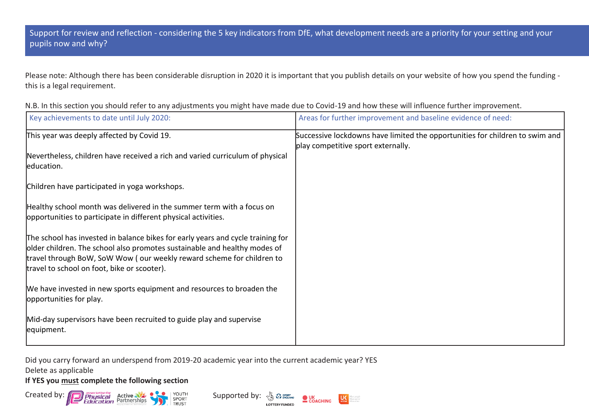Please note: Although there has been considerable disruption in 2020 it is important that you publish details on your website of how you spend the funding this is a legal requirement.

| N.B. In this section you should refer to any adjustments you might have made due to Covid-19 and how these will influence further improvement. |  |
|------------------------------------------------------------------------------------------------------------------------------------------------|--|
|------------------------------------------------------------------------------------------------------------------------------------------------|--|

| Key achievements to date until July 2020:                                                                                                                                                                                                                                            | Areas for further improvement and baseline evidence of need:                                                       |
|--------------------------------------------------------------------------------------------------------------------------------------------------------------------------------------------------------------------------------------------------------------------------------------|--------------------------------------------------------------------------------------------------------------------|
| This year was deeply affected by Covid 19.                                                                                                                                                                                                                                           | Successive lockdowns have limited the opportunities for children to swim and<br>play competitive sport externally. |
| Nevertheless, children have received a rich and varied curriculum of physical<br>education.                                                                                                                                                                                          |                                                                                                                    |
| Children have participated in yoga workshops.                                                                                                                                                                                                                                        |                                                                                                                    |
| Healthy school month was delivered in the summer term with a focus on<br>opportunities to participate in different physical activities.                                                                                                                                              |                                                                                                                    |
| The school has invested in balance bikes for early years and cycle training for<br>older children. The school also promotes sustainable and healthy modes of<br>travel through BoW, SoW Wow (our weekly reward scheme for children to<br>travel to school on foot, bike or scooter). |                                                                                                                    |
| We have invested in new sports equipment and resources to broaden the<br>opportunities for play.                                                                                                                                                                                     |                                                                                                                    |
| Mid-day supervisors have been recruited to guide play and supervise<br>equipment.                                                                                                                                                                                                    |                                                                                                                    |

**LOTTERY FUNDED** 

 $U<sub>other</sub>$ 

Did you carry forward an underspend from 2019-20 academic year into the current academic year? YES Delete as applicable

**If YES you must complete the following section**

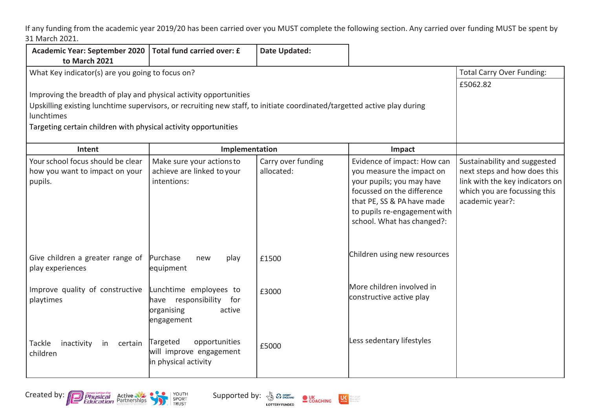If any funding from the academic year 2019/20 has been carried over you MUST complete the following section. Any carried over funding MUST be spent by 31 March 2021.

| Academic Year: September 2020   Total fund carried over: £<br>to March 2021                                                                                                                                 |                                                                                            | <b>Date Updated:</b>             |                                                                                                                                                                                                                 |                                                                                                                                                    |
|-------------------------------------------------------------------------------------------------------------------------------------------------------------------------------------------------------------|--------------------------------------------------------------------------------------------|----------------------------------|-----------------------------------------------------------------------------------------------------------------------------------------------------------------------------------------------------------------|----------------------------------------------------------------------------------------------------------------------------------------------------|
| What Key indicator(s) are you going to focus on?                                                                                                                                                            |                                                                                            |                                  |                                                                                                                                                                                                                 | <b>Total Carry Over Funding:</b><br>£5062.82                                                                                                       |
| Improving the breadth of play and physical activity opportunities<br>Upskilling existing lunchtime supervisors, or recruiting new staff, to initiate coordinated/targetted active play during<br>lunchtimes |                                                                                            |                                  |                                                                                                                                                                                                                 |                                                                                                                                                    |
| Targeting certain children with physical activity opportunities                                                                                                                                             |                                                                                            |                                  |                                                                                                                                                                                                                 |                                                                                                                                                    |
| Intent                                                                                                                                                                                                      | Implementation                                                                             |                                  | Impact                                                                                                                                                                                                          |                                                                                                                                                    |
| Your school focus should be clear<br>how you want to impact on your<br>pupils.                                                                                                                              | Make sure your actions to<br>achieve are linked to your<br>intentions:                     | Carry over funding<br>allocated: | Evidence of impact: How can<br>you measure the impact on<br>your pupils; you may have<br>focussed on the difference<br>that PE, SS & PA have made<br>to pupils re-engagement with<br>school. What has changed?: | Sustainability and suggested<br>next steps and how does this<br>link with the key indicators on<br>which you are focussing this<br>academic year?: |
| Give children a greater range of<br>play experiences                                                                                                                                                        | Purchase<br>play<br>new<br>equipment                                                       | £1500                            | Children using new resources                                                                                                                                                                                    |                                                                                                                                                    |
| Improve quality of constructive<br>playtimes                                                                                                                                                                | Lunchtime employees to<br>have responsibility<br>for<br>active<br>organising<br>engagement | £3000                            | More children involved in<br>constructive active play                                                                                                                                                           |                                                                                                                                                    |
| Tackle<br>inactivity<br>in<br>certain<br>children                                                                                                                                                           | opportunities<br>Targeted<br>will improve engagement<br>in physical activity               | £5000                            | Less sedentary lifestyles                                                                                                                                                                                       |                                                                                                                                                    |





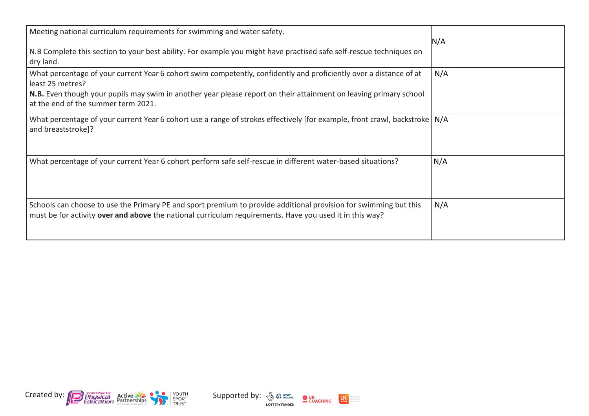| Meeting national curriculum requirements for swimming and water safety.<br>N.B Complete this section to your best ability. For example you might have practised safe self-rescue techniques on<br>dry land.                                                                                               | N/A |
|-----------------------------------------------------------------------------------------------------------------------------------------------------------------------------------------------------------------------------------------------------------------------------------------------------------|-----|
| What percentage of your current Year 6 cohort swim competently, confidently and proficiently over a distance of at<br>least 25 metres?<br><b>N.B.</b> Even though your pupils may swim in another year please report on their attainment on leaving primary school<br>at the end of the summer term 2021. | N/A |
| What percentage of your current Year 6 cohort use a range of strokes effectively [for example, front crawl, backstroke   N/A<br>and breaststroke]?                                                                                                                                                        |     |
| What percentage of your current Year 6 cohort perform safe self-rescue in different water-based situations?                                                                                                                                                                                               | N/A |
| Schools can choose to use the Primary PE and sport premium to provide additional provision for swimming but this<br>must be for activity over and above the national curriculum requirements. Have you used it in this way?                                                                               | N/A |



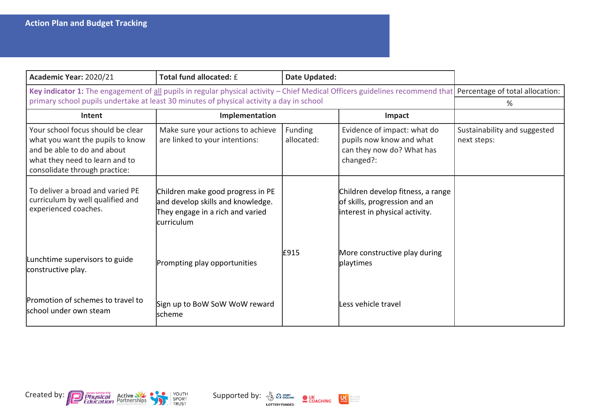| Academic Year: 2020/21                                                                                                                                                  | Total fund allocated: £                                                                                                   | Date Updated:         |                                                                                                      |                                             |
|-------------------------------------------------------------------------------------------------------------------------------------------------------------------------|---------------------------------------------------------------------------------------------------------------------------|-----------------------|------------------------------------------------------------------------------------------------------|---------------------------------------------|
| Key indicator 1: The engagement of all pupils in regular physical activity - Chief Medical Officers guidelines recommend that Percentage of total allocation:           | primary school pupils undertake at least 30 minutes of physical activity a day in school                                  |                       |                                                                                                      | %                                           |
| Intent                                                                                                                                                                  | Implementation                                                                                                            |                       | Impact                                                                                               |                                             |
| Your school focus should be clear<br>what you want the pupils to know<br>and be able to do and about<br>what they need to learn and to<br>consolidate through practice: | Make sure your actions to achieve<br>are linked to your intentions:                                                       | Funding<br>allocated: | Evidence of impact: what do<br>pupils now know and what<br>can they now do? What has<br>changed?:    | Sustainability and suggested<br>next steps: |
| To deliver a broad and varied PE<br>curriculum by well qualified and<br>experienced coaches.                                                                            | Children make good progress in PE<br>and develop skills and knowledge.<br>They engage in a rich and varied<br>lcurriculum |                       | Children develop fitness, a range<br>of skills, progression and an<br>interest in physical activity. |                                             |
| Lunchtime supervisors to guide<br>constructive play.                                                                                                                    | Prompting play opportunities                                                                                              | E915                  | More constructive play during<br>playtimes                                                           |                                             |
| Promotion of schemes to travel to<br>school under own steam                                                                                                             | Sign up to BoW SoW WoW reward<br>lscheme                                                                                  |                       | Less vehicle travel                                                                                  |                                             |





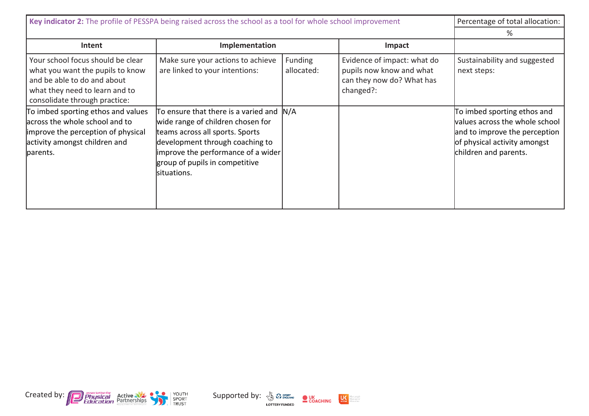| Key indicator 2: The profile of PESSPA being raised across the school as a tool for whole school improvement                                                            |                                                                                                                                                                                                                                             |                       |                                                                                                   | Percentage of total allocation:                                                                                                                         |
|-------------------------------------------------------------------------------------------------------------------------------------------------------------------------|---------------------------------------------------------------------------------------------------------------------------------------------------------------------------------------------------------------------------------------------|-----------------------|---------------------------------------------------------------------------------------------------|---------------------------------------------------------------------------------------------------------------------------------------------------------|
|                                                                                                                                                                         |                                                                                                                                                                                                                                             |                       |                                                                                                   | %                                                                                                                                                       |
| Intent                                                                                                                                                                  | Implementation                                                                                                                                                                                                                              |                       | Impact                                                                                            |                                                                                                                                                         |
| Your school focus should be clear<br>what you want the pupils to know<br>and be able to do and about<br>what they need to learn and to<br>consolidate through practice: | Make sure your actions to achieve<br>are linked to your intentions:                                                                                                                                                                         | Funding<br>allocated: | Evidence of impact: what do<br>pupils now know and what<br>can they now do? What has<br>changed?: | Sustainability and suggested<br>next steps:                                                                                                             |
| To imbed sporting ethos and values<br>across the whole school and to<br>improve the perception of physical<br>activity amongst children and<br>parents.                 | To ensure that there is a varied and  N/A<br>wide range of children chosen for<br>teams across all sports. Sports<br>development through coaching to<br>improve the performance of a wider<br>group of pupils in competitive<br>situations. |                       |                                                                                                   | To imbed sporting ethos and<br>values across the whole school<br>and to improve the perception<br>of physical activity amongst<br>children and parents. |





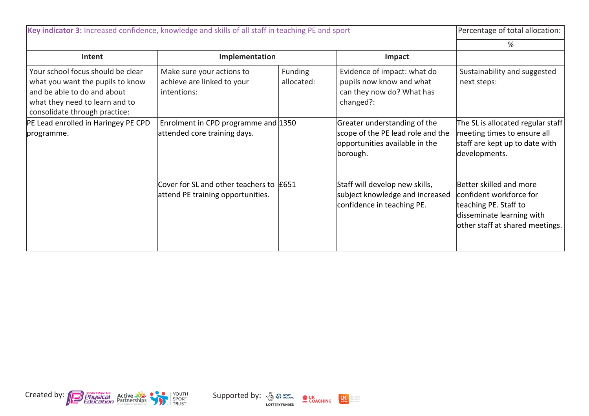| Key indicator 3: Increased confidence, knowledge and skills of all staff in teaching PE and sport                                                                       |                                                                              |                       |                                                                                                                 | Percentage of total allocation:                                                                                                             |
|-------------------------------------------------------------------------------------------------------------------------------------------------------------------------|------------------------------------------------------------------------------|-----------------------|-----------------------------------------------------------------------------------------------------------------|---------------------------------------------------------------------------------------------------------------------------------------------|
| Intent                                                                                                                                                                  | Implementation                                                               |                       | Impact                                                                                                          | ℅                                                                                                                                           |
| Your school focus should be clear<br>what you want the pupils to know<br>and be able to do and about<br>what they need to learn and to<br>consolidate through practice: | Make sure your actions to<br>achieve are linked to your<br>intentions:       | Funding<br>allocated: | Evidence of impact: what do<br>pupils now know and what<br>can they now do? What has<br>changed?:               | Sustainability and suggested<br>next steps:                                                                                                 |
| PE Lead enrolled in Haringey PE CPD<br>programme.                                                                                                                       | Enrolment in CPD programme and 1350<br>attended core training days.          |                       | Greater understanding of the<br>scope of the PE lead role and the<br>opportunities available in the<br>borough. | The SL is allocated regular staff<br>meeting times to ensure all<br>staff are kept up to date with<br>developments.                         |
|                                                                                                                                                                         | Cover for SL and other teachers to E651<br>attend PE training opportunities. |                       | Staff will develop new skills,<br>subject knowledge and increased<br>confidence in teaching PE.                 | Better skilled and more<br>confident workforce for<br>teaching PE. Staff to<br>disseminate learning with<br>other staff at shared meetings. |





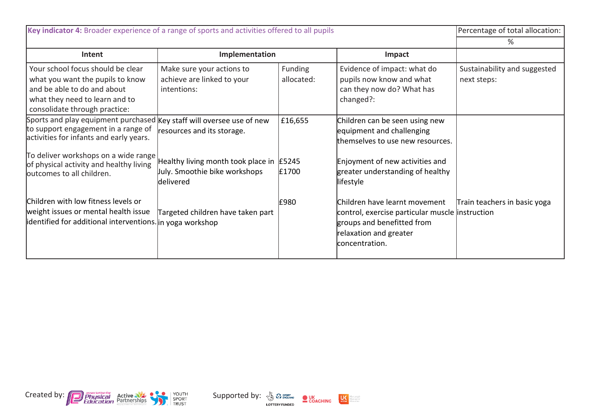| Key indicator 4: Broader experience of a range of sports and activities offered to all pupils                                                                           |                                                                                        |                              |                                                                                                                                                             | Percentage of total allocation:             |
|-------------------------------------------------------------------------------------------------------------------------------------------------------------------------|----------------------------------------------------------------------------------------|------------------------------|-------------------------------------------------------------------------------------------------------------------------------------------------------------|---------------------------------------------|
|                                                                                                                                                                         |                                                                                        |                              |                                                                                                                                                             | %                                           |
| Intent                                                                                                                                                                  | Implementation                                                                         |                              | Impact                                                                                                                                                      |                                             |
| Your school focus should be clear<br>what you want the pupils to know<br>and be able to do and about<br>what they need to learn and to<br>consolidate through practice: | Make sure your actions to<br>achieve are linked to your<br>intentions:                 | <b>Funding</b><br>allocated: | Evidence of impact: what do<br>pupils now know and what<br>can they now do? What has<br>changed?:                                                           | Sustainability and suggested<br>next steps: |
| Sports and play equipment purchased Key staff will oversee use of new<br>to support engagement in a range of<br>activities for infants and early years.                 | resources and its storage.                                                             | £16,655                      | Children can be seen using new<br>equipment and challenging<br>themselves to use new resources.                                                             |                                             |
| To deliver workshops on a wide range<br>of physical activity and healthy living<br>outcomes to all children.                                                            | Healthy living month took place in E5245<br>July. Smoothie bike workshops<br>delivered | £1700                        | Enjoyment of new activities and<br>greater understanding of healthy<br>lifestyle                                                                            |                                             |
| Children with low fitness levels or<br>weight issues or mental health issue<br>identified for additional interventions. in yoga workshop                                | Targeted children have taken part                                                      | £980                         | Children have learnt movement<br>control, exercise particular muscle linstruction<br>groups and benefitted from<br>relaxation and greater<br>concentration. | Train teachers in basic yoga                |